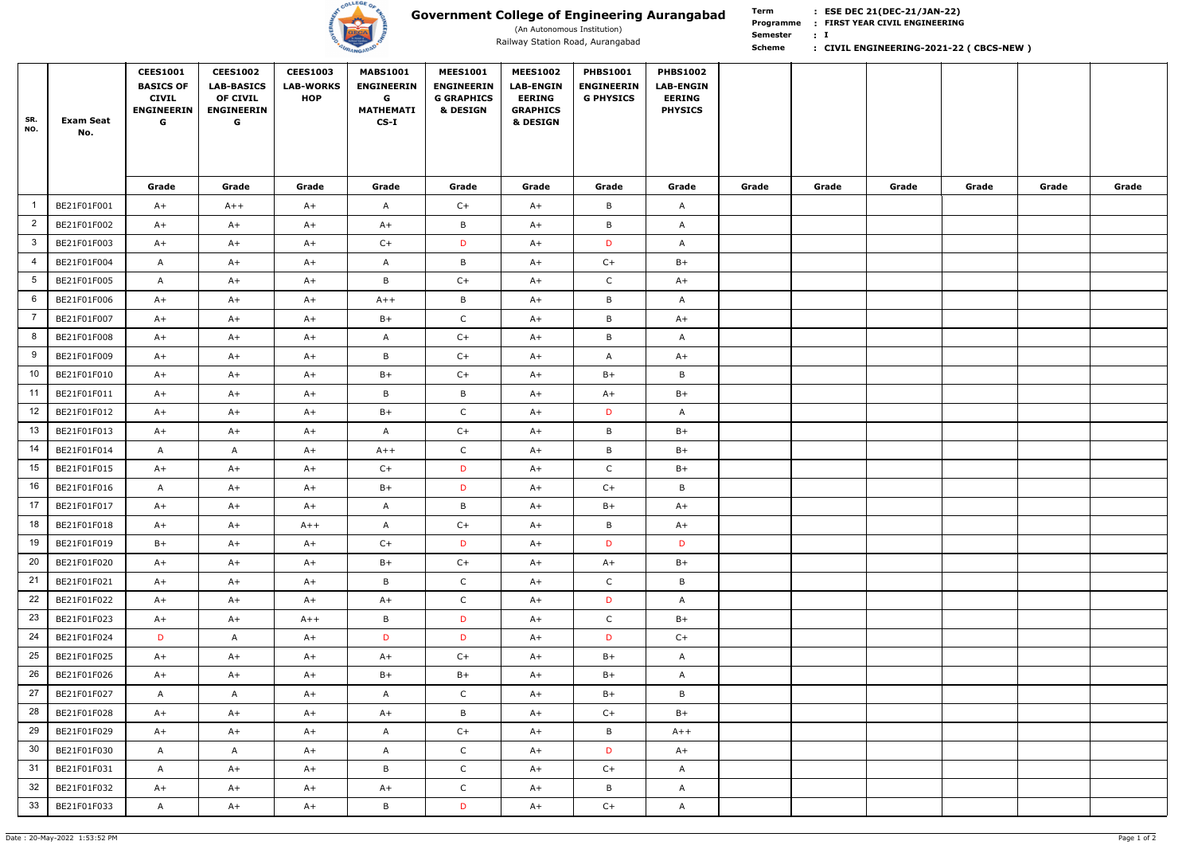

(An Autonomous Institution)

**Term Scheme FIRST YEAR CIVIL ENGINEERING Programme : I : Semester :** Railway Station Road, Aurangabad **by Scheme Markett, CIVIL ENGINEERING-2021-22 ( CBCS-NEW )** 

| SR.<br>NO. | <b>Exam Seat</b><br>No. | <b>CEES1001</b><br><b>BASICS OF</b><br><b>CIVIL</b><br><b>ENGINEERIN</b><br>G | <b>CEES1002</b><br><b>LAB-BASICS</b><br><b>OF CIVIL</b><br><b>ENGINEERIN</b><br>G | <b>CEES1003</b><br><b>LAB-WORKS</b><br><b>HOP</b> | <b>MABS1001</b><br><b>ENGINEERIN</b><br>G<br><b>MATHEMATI</b><br>$CS-I$ | <b>MEES1001</b><br><b>ENGINEERIN</b><br><b>G GRAPHICS</b><br><b>&amp; DESIGN</b> | <b>MEES1002</b><br><b>LAB-ENGIN</b><br><b>EERING</b><br><b>GRAPHICS</b><br><b>&amp; DESIGN</b> | <b>PHBS1001</b><br><b>ENGINEERIN</b><br><b>G PHYSICS</b> | <b>PHBS1002</b><br><b>LAB-ENGIN</b><br><b>EERING</b><br><b>PHYSICS</b> |       |       |       |       |       |       |
|------------|-------------------------|-------------------------------------------------------------------------------|-----------------------------------------------------------------------------------|---------------------------------------------------|-------------------------------------------------------------------------|----------------------------------------------------------------------------------|------------------------------------------------------------------------------------------------|----------------------------------------------------------|------------------------------------------------------------------------|-------|-------|-------|-------|-------|-------|
|            |                         | Grade                                                                         | Grade                                                                             | Grade                                             | Grade                                                                   | Grade                                                                            | Grade                                                                                          | Grade                                                    | Grade                                                                  | Grade | Grade | Grade | Grade | Grade | Grade |
|            | BE21F01F001             | $A+$                                                                          | $A++$                                                                             | $A+$                                              | $\mathsf{A}$                                                            | $C+$                                                                             | $A+$                                                                                           | $\mathsf{B}$                                             | $\mathsf{A}$                                                           |       |       |       |       |       |       |
|            | BE21F01F002             | $A+$                                                                          | $A+$                                                                              | $A+$                                              | $A+$                                                                    | $\mathsf{B}$                                                                     | $A+$                                                                                           | $\mathsf{B}$                                             | $\mathsf{A}$                                                           |       |       |       |       |       |       |
|            | BE21F01F003             | $A+$                                                                          | $A+$                                                                              | $A+$                                              | $C+$                                                                    | D                                                                                | $A+$                                                                                           | D                                                        | $\mathsf{A}$                                                           |       |       |       |       |       |       |
|            | BE21F01F004             | $\mathsf{A}$                                                                  | $A+$                                                                              | $A+$                                              | $\mathsf{A}$                                                            | $\mathsf{B}$                                                                     | $A+$                                                                                           | $C+$                                                     | $B+$                                                                   |       |       |       |       |       |       |
|            | BE21F01F005             | $\mathsf{A}$                                                                  | $A+$                                                                              | $A+$                                              | B                                                                       | $C+$                                                                             | $A+$                                                                                           | $\mathsf{C}$                                             | $A+$                                                                   |       |       |       |       |       |       |
|            | BE21F01F006             | $A+$                                                                          | $A+$                                                                              | $A+$                                              | $A++$                                                                   | $\mathsf{B}$                                                                     | $A+$                                                                                           | $\mathsf{B}$                                             | $\mathsf{A}$                                                           |       |       |       |       |       |       |
|            | BE21F01F007             | $A+$                                                                          | $A+$                                                                              | $A+$                                              | $B+$                                                                    | $\mathsf{C}$                                                                     | $A+$                                                                                           | $\mathsf{B}$                                             | $A+$                                                                   |       |       |       |       |       |       |
|            | BE21F01F008             | $A+$                                                                          | $A+$                                                                              | $A+$                                              | $\mathsf{A}$                                                            | $C+$                                                                             | $A+$                                                                                           | $\mathsf{B}$                                             | $\mathsf{A}$                                                           |       |       |       |       |       |       |
|            | BE21F01F009             | $A+$                                                                          | $A+$                                                                              | $A+$                                              | B                                                                       | $C+$                                                                             | $A+$                                                                                           | $\mathsf{A}$                                             | $A+$                                                                   |       |       |       |       |       |       |
| 10         | BE21F01F010             | $A+$                                                                          | $A+$                                                                              | $A+$                                              | $B+$                                                                    | $C+$                                                                             | $A+$                                                                                           | $B+$                                                     | $\mathsf{B}$                                                           |       |       |       |       |       |       |
|            | BE21F01F011             | $A+$                                                                          | $A+$                                                                              | $A+$                                              | B                                                                       | $\mathsf{B}$                                                                     | $A+$                                                                                           | $A+$                                                     | $B+$                                                                   |       |       |       |       |       |       |
| 12         | BE21F01F012             | $A+$                                                                          | $A+$                                                                              | $A+$                                              | $B+$                                                                    | $\mathsf{C}$                                                                     | $A+$                                                                                           | D                                                        | $\mathsf{A}$                                                           |       |       |       |       |       |       |
| 13         | BE21F01F013             | $A+$                                                                          | $A+$                                                                              | $A+$                                              | $\mathsf{A}$                                                            | $C+$                                                                             | $A+$                                                                                           | $\mathsf{B}$                                             | $B+$                                                                   |       |       |       |       |       |       |
| -14        | BE21F01F014             | $\mathsf{A}$                                                                  | $\mathsf{A}$                                                                      | $A+$                                              | $A++$                                                                   | $\mathsf{C}$                                                                     | $A+$                                                                                           | $\mathsf{B}$                                             | $B+$                                                                   |       |       |       |       |       |       |
| 15         | BE21F01F015             | $A+$                                                                          | $A+$                                                                              | $A+$                                              | $C+$                                                                    | D                                                                                | $A+$                                                                                           | $\mathsf{C}$                                             | $B+$                                                                   |       |       |       |       |       |       |
| 16         | BE21F01F016             | $\mathsf{A}$                                                                  | $A+$                                                                              | $A+$                                              | $B+$                                                                    | D                                                                                | $A+$                                                                                           | $C+$                                                     | $\mathsf B$                                                            |       |       |       |       |       |       |
| 17         | BE21F01F017             | $A+$                                                                          | $A+$                                                                              | $A+$                                              | $\mathsf{A}$                                                            | B                                                                                | $A+$                                                                                           | $B+$                                                     | A+                                                                     |       |       |       |       |       |       |
| 18         | BE21F01F018             | $A+$                                                                          | $A+$                                                                              | $A++$                                             | $\mathsf{A}$                                                            | $C+$                                                                             | $A+$                                                                                           | $\mathsf{B}$                                             | $A+$                                                                   |       |       |       |       |       |       |
| 19         | BE21F01F019             | $B+$                                                                          | $A+$                                                                              | $A+$                                              | $C+$                                                                    | D                                                                                | $A+$                                                                                           | D                                                        | D                                                                      |       |       |       |       |       |       |
| 20         | BE21F01F020             | $A+$                                                                          | $A+$                                                                              | $A+$                                              | $B+$                                                                    | $C+$                                                                             | $A+$                                                                                           | $A+$                                                     | $B+$                                                                   |       |       |       |       |       |       |
| 21         | BE21F01F021             | $A+$                                                                          | $A+$                                                                              | $A+$                                              | B                                                                       | $\mathsf{C}$                                                                     | $A+$                                                                                           | $\mathsf{C}$                                             | $\mathsf{B}$                                                           |       |       |       |       |       |       |
| 22         | BE21F01F022             | $A+$                                                                          | $A+$                                                                              | $A+$                                              | $A+$                                                                    | $\mathsf{C}$                                                                     | $A+$                                                                                           | D                                                        | $\overline{A}$                                                         |       |       |       |       |       |       |
| 23         | BE21F01F023             | $A+$                                                                          | $A+$                                                                              | $A++$                                             | B                                                                       | D                                                                                | $A+$                                                                                           | $\mathsf{C}$                                             | $B+$                                                                   |       |       |       |       |       |       |
| 24         | BE21F01F024             | D                                                                             | $\mathsf{A}$                                                                      | $A+$                                              | D                                                                       | D                                                                                | $A+$                                                                                           | D                                                        | $C+$                                                                   |       |       |       |       |       |       |
| 25         | BE21F01F025             | $A+$                                                                          | $A+$                                                                              | $A+$                                              | $A+$                                                                    | $C+$                                                                             | $A+$                                                                                           | $B+$                                                     | $\mathsf{A}$                                                           |       |       |       |       |       |       |
| 26         | BE21F01F026             | $A+$                                                                          | $A+$                                                                              | $A+$                                              | $B+$                                                                    | $B+$                                                                             | $A+$                                                                                           | $B+$                                                     | $\overline{A}$                                                         |       |       |       |       |       |       |
| 27         | BE21F01F027             | $\mathsf{A}$                                                                  | $\mathsf{A}$                                                                      | $A+$                                              | $\mathsf{A}$                                                            | $\mathsf{C}$                                                                     | $A+$                                                                                           | $B+$                                                     | $\mathsf B$                                                            |       |       |       |       |       |       |
| 28         | BE21F01F028             | $A+$                                                                          | $A+$                                                                              | $A+$                                              | $A+$                                                                    | $\mathsf{B}$                                                                     | $A+$                                                                                           | $C+$                                                     | $B+$                                                                   |       |       |       |       |       |       |
| 29         | BE21F01F029             | $A+$                                                                          | $A+$                                                                              | $A+$                                              | $\mathsf{A}$                                                            | $C+$                                                                             | $A+$                                                                                           | $\mathsf{B}$                                             | $A++$                                                                  |       |       |       |       |       |       |
| 30         | BE21F01F030             | $\mathsf{A}$                                                                  | $\mathsf{A}$                                                                      | $A+$                                              | $\mathsf{A}$                                                            | $\mathsf{C}$                                                                     | $A+$                                                                                           | D                                                        | $A+$                                                                   |       |       |       |       |       |       |
| 31         | BE21F01F031             | $\mathsf{A}$                                                                  | $A+$                                                                              | $A+$                                              | B                                                                       | $\mathsf{C}$                                                                     | $A+$                                                                                           | $C+$                                                     | $\overline{A}$                                                         |       |       |       |       |       |       |
| 32         | BE21F01F032             | $A+$                                                                          | $A+$                                                                              | $A+$                                              | $A+$                                                                    | $\mathsf{C}$                                                                     | $A+$                                                                                           | $\mathsf{B}$                                             | $\overline{A}$                                                         |       |       |       |       |       |       |
| 33         | BE21F01F033             | $\mathsf{A}$                                                                  | $A+$                                                                              | $A+$                                              | $\mathsf{B}$                                                            | $\mathsf{D}$                                                                     | $A+$                                                                                           | $C+$                                                     | $\mathsf{A}$                                                           |       |       |       |       |       |       |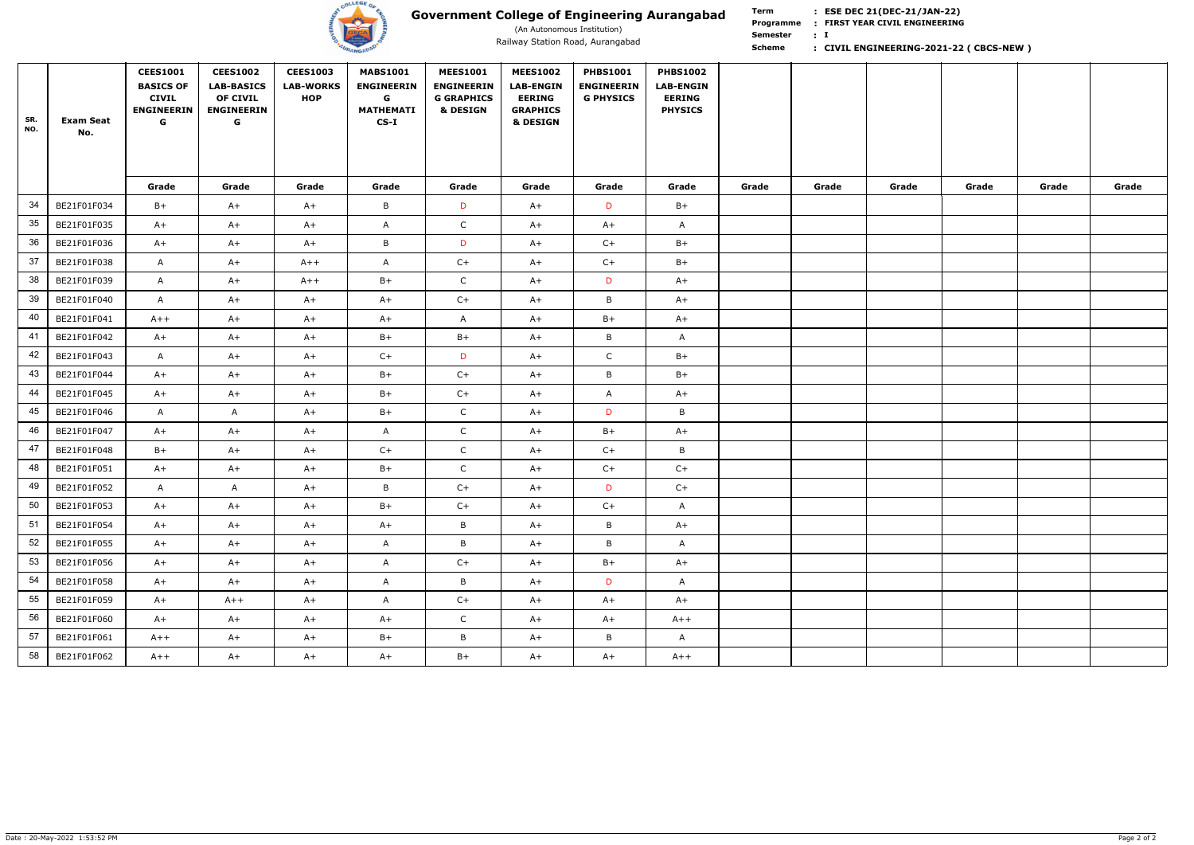

(An Autonomous Institution)

**Scheme**  Railway Station Road, Aurangabad **by Scheme Markett, CIVIL ENGINEERING-2021-22 ( CBCS-NEW )** 

**Term** 

## **FIRST YEAR CIVIL ENGINEERING Programme : :**

**I : Semester** 

| SR.<br>NO. | <b>Exam Seat</b><br>No. | <b>CEES1001</b><br><b>BASICS OF</b><br><b>CIVIL</b><br><b>ENGINEERIN</b><br>G | <b>CEES1002</b><br><b>LAB-BASICS</b><br><b>OF CIVIL</b><br><b>ENGINEERIN</b><br>G | <b>CEES1003</b><br><b>LAB-WORKS</b><br><b>HOP</b> | <b>MABS1001</b><br><b>ENGINEERIN</b><br>G<br><b>MATHEMATI</b><br>$CS-I$ | <b>MEES1001</b><br><b>ENGINEERIN</b><br><b>G GRAPHICS</b><br>& DESIGN | <b>MEES1002</b><br><b>LAB-ENGIN</b><br><b>EERING</b><br><b>GRAPHICS</b><br><b>&amp; DESIGN</b> | <b>PHBS1001</b><br><b>ENGINEERIN</b><br><b>G PHYSICS</b> | <b>PHBS1002</b><br><b>LAB-ENGIN</b><br><b>EERING</b><br><b>PHYSICS</b> |       |       |       |       |       |       |
|------------|-------------------------|-------------------------------------------------------------------------------|-----------------------------------------------------------------------------------|---------------------------------------------------|-------------------------------------------------------------------------|-----------------------------------------------------------------------|------------------------------------------------------------------------------------------------|----------------------------------------------------------|------------------------------------------------------------------------|-------|-------|-------|-------|-------|-------|
|            |                         | Grade                                                                         | Grade                                                                             | Grade                                             | Grade                                                                   | Grade                                                                 | Grade                                                                                          | Grade                                                    | Grade                                                                  | Grade | Grade | Grade | Grade | Grade | Grade |
| 34         | BE21F01F034             | $B+$                                                                          | $A+$                                                                              | $A+$                                              | B                                                                       | D                                                                     | $A+$                                                                                           | D                                                        | $B+$                                                                   |       |       |       |       |       |       |
| 35         | BE21F01F035             | $A+$                                                                          | $A+$                                                                              | $A+$                                              | $\mathsf{A}$                                                            | $\mathsf{C}$                                                          | $A+$                                                                                           | $A+$                                                     | $\mathsf{A}$                                                           |       |       |       |       |       |       |
| 36         | BE21F01F036             | $A+$                                                                          | $A+$                                                                              | $A+$                                              | B                                                                       | D                                                                     | $A+$                                                                                           | $C+$                                                     | $B+$                                                                   |       |       |       |       |       |       |
| 37         | BE21F01F038             | $\mathsf{A}$                                                                  | $A+$                                                                              | $A++$                                             | $\mathsf{A}$                                                            | $C+$                                                                  | $A+$                                                                                           | $C+$                                                     | $B+$                                                                   |       |       |       |       |       |       |
| 38         | BE21F01F039             | $\mathsf{A}$                                                                  | $A+$                                                                              | $A++$                                             | $B+$                                                                    | $\mathsf{C}$                                                          | $A+$                                                                                           | D                                                        | $A+$                                                                   |       |       |       |       |       |       |
| 39         | BE21F01F040             | $\mathsf{A}$                                                                  | $A+$                                                                              | $A+$                                              | $A+$                                                                    | $C+$                                                                  | $A+$                                                                                           | $\mathsf{B}$                                             | $A+$                                                                   |       |       |       |       |       |       |
| 40         | BE21F01F041             | $A++$                                                                         | $A+$                                                                              | $A+$                                              | $A+$                                                                    | A                                                                     | $A+$                                                                                           | $B+$                                                     | $A+$                                                                   |       |       |       |       |       |       |
| 41         | BE21F01F042             | $A+$                                                                          | $A+$                                                                              | $A+$                                              | $B+$                                                                    | $B+$                                                                  | $A+$                                                                                           | $\mathsf B$                                              | $\mathsf{A}$                                                           |       |       |       |       |       |       |
| 42         | BE21F01F043             | $\mathsf{A}$                                                                  | $A+$                                                                              | $A+$                                              | $C+$                                                                    | D                                                                     | $A+$                                                                                           | $\mathsf{C}$                                             | $B+$                                                                   |       |       |       |       |       |       |
| 43         | BE21F01F044             | $A+$                                                                          | $A+$                                                                              | $A+$                                              | $B+$                                                                    | $C+$                                                                  | $A+$                                                                                           | $\mathsf B$                                              | $B+$                                                                   |       |       |       |       |       |       |
| 44         | BE21F01F045             | $A+$                                                                          | $A+$                                                                              | $A+$                                              | $B+$                                                                    | $C+$                                                                  | $A+$                                                                                           | $\mathsf{A}$                                             | $A+$                                                                   |       |       |       |       |       |       |
| 45         | BE21F01F046             | $\mathsf{A}$                                                                  | $\mathsf{A}$                                                                      | $A+$                                              | $B+$                                                                    | $\mathsf{C}$                                                          | $A+$                                                                                           | D                                                        | B                                                                      |       |       |       |       |       |       |
| 46         | BE21F01F047             | $A+$                                                                          | $A+$                                                                              | $A+$                                              | $\mathsf{A}$                                                            | $\mathsf{C}$                                                          | $A+$                                                                                           | $B+$                                                     | $A+$                                                                   |       |       |       |       |       |       |
| 47         | BE21F01F048             | $B+$                                                                          | $A+$                                                                              | $A+$                                              | $C+$                                                                    | $\mathsf{C}$                                                          | $A+$                                                                                           | $C+$                                                     | B                                                                      |       |       |       |       |       |       |
| 48         | BE21F01F051             | $A+$                                                                          | $A+$                                                                              | $A+$                                              | $B+$                                                                    | $\mathsf{C}$                                                          | $A+$                                                                                           | $C+$                                                     | $C+$                                                                   |       |       |       |       |       |       |
| 49         | BE21F01F052             | $\mathsf{A}$                                                                  | A                                                                                 | $A+$                                              | B                                                                       | $C+$                                                                  | $A+$                                                                                           | D                                                        | $C+$                                                                   |       |       |       |       |       |       |
| 50         | BE21F01F053             | $A+$                                                                          | $A+$                                                                              | $A+$                                              | $B+$                                                                    | $C+$                                                                  | $A+$                                                                                           | $C+$                                                     | $\mathsf{A}$                                                           |       |       |       |       |       |       |
| 51         | BE21F01F054             | $A+$                                                                          | $A+$                                                                              | $A+$                                              | $A+$                                                                    | B                                                                     | $A+$                                                                                           | $\mathsf{B}$                                             | $A+$                                                                   |       |       |       |       |       |       |
| 52         | BE21F01F055             | $A+$                                                                          | $A+$                                                                              | $A+$                                              | $\mathsf{A}$                                                            | B                                                                     | $A+$                                                                                           | $\mathsf B$                                              | $\mathsf{A}$                                                           |       |       |       |       |       |       |
| 53         | BE21F01F056             | $A+$                                                                          | $A+$                                                                              | $A+$                                              | $\mathsf{A}$                                                            | $C+$                                                                  | $A+$                                                                                           | $B+$                                                     | $A+$                                                                   |       |       |       |       |       |       |
| 54         | BE21F01F058             | $A+$                                                                          | $A+$                                                                              | $A+$                                              | $\mathsf{A}$                                                            | B                                                                     | $A+$                                                                                           | D                                                        | A                                                                      |       |       |       |       |       |       |
| 55         | BE21F01F059             | $A+$                                                                          | $A++$                                                                             | $A+$                                              | $\mathsf{A}$                                                            | $C+$                                                                  | $A+$                                                                                           | $A+$                                                     | $A+$                                                                   |       |       |       |       |       |       |
| 56         | BE21F01F060             | $A+$                                                                          | $A+$                                                                              | $A+$                                              | $A+$                                                                    | $\mathsf{C}$                                                          | $A+$                                                                                           | $A+$                                                     | $A++$                                                                  |       |       |       |       |       |       |
| 57         | BE21F01F061             | $A++$                                                                         | $A+$                                                                              | $A+$                                              | $B+$                                                                    | B                                                                     | $A+$                                                                                           | $\mathsf B$                                              | $\mathsf{A}$                                                           |       |       |       |       |       |       |
| 58         | BE21F01F062             | $A++$                                                                         | $A+$                                                                              | $A+$                                              | $A+$                                                                    | $B+$                                                                  | $A+$                                                                                           | $A+$                                                     | $A++$                                                                  |       |       |       |       |       |       |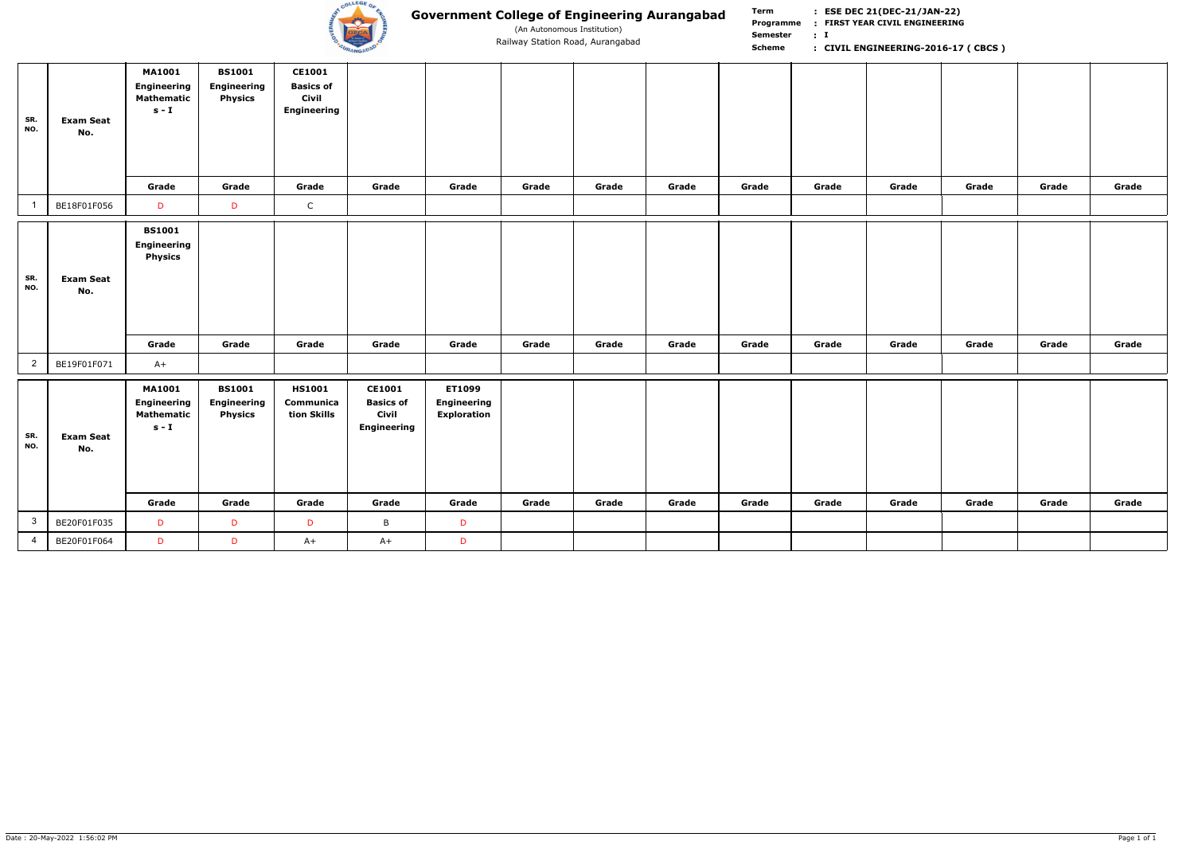

(An Autonomous Institution)

**Term Scheme FIRST YEAR CIVIL ENGINEERING Programme : I : Semester :** Railway Station Road, Aurangabad **Call Concrete Scheme CIVIL ENGINEERING-2016-17 (CBCS)** 

| SR.<br>NO.     | <b>Exam Seat</b><br>No. | <b>MA1001</b><br><b>Engineering</b><br><b>Mathematic</b><br>$s - I$ | <b>BS1001</b><br><b>Engineering</b><br><b>Physics</b> | CE1001<br><b>Basics of</b><br><b>Civil</b><br><b>Engineering</b> |                                                                         |                                                    |       |       |       |       |       |       |       |       |       |
|----------------|-------------------------|---------------------------------------------------------------------|-------------------------------------------------------|------------------------------------------------------------------|-------------------------------------------------------------------------|----------------------------------------------------|-------|-------|-------|-------|-------|-------|-------|-------|-------|
|                |                         | Grade                                                               | Grade                                                 | Grade                                                            | Grade                                                                   | Grade                                              | Grade | Grade | Grade | Grade | Grade | Grade | Grade | Grade | Grade |
|                | BE18F01F056             | D                                                                   | D                                                     | $\mathsf{C}$                                                     |                                                                         |                                                    |       |       |       |       |       |       |       |       |       |
| SR.<br>NO.     | <b>Exam Seat</b><br>No. | <b>BS1001</b><br><b>Engineering</b><br><b>Physics</b><br>Grade      | Grade                                                 | Grade                                                            | Grade                                                                   | Grade                                              | Grade | Grade | Grade | Grade | Grade | Grade | Grade | Grade | Grade |
| $\overline{2}$ | BE19F01F071             | $A+$                                                                |                                                       |                                                                  |                                                                         |                                                    |       |       |       |       |       |       |       |       |       |
| SR.<br>NO.     | <b>Exam Seat</b><br>No. | <b>MA1001</b><br><b>Engineering</b><br><b>Mathematic</b><br>$s - I$ | <b>BS1001</b><br><b>Engineering</b><br><b>Physics</b> | <b>HS1001</b><br>Communica<br>tion Skills                        | <b>CE1001</b><br><b>Basics of</b><br><b>Civil</b><br><b>Engineering</b> | ET1099<br><b>Engineering</b><br><b>Exploration</b> |       |       |       |       |       |       |       |       |       |
|                |                         | Grade                                                               | Grade                                                 | Grade                                                            | Grade                                                                   | Grade                                              | Grade | Grade | Grade | Grade | Grade | Grade | Grade | Grade | Grade |
| $\overline{3}$ | BE20F01F035             | D                                                                   | D                                                     | D                                                                | $\mathsf B$                                                             | D                                                  |       |       |       |       |       |       |       |       |       |
| $\overline{4}$ | BE20F01F064             | D                                                                   | D                                                     | $A+$                                                             | $A+$                                                                    | D                                                  |       |       |       |       |       |       |       |       |       |